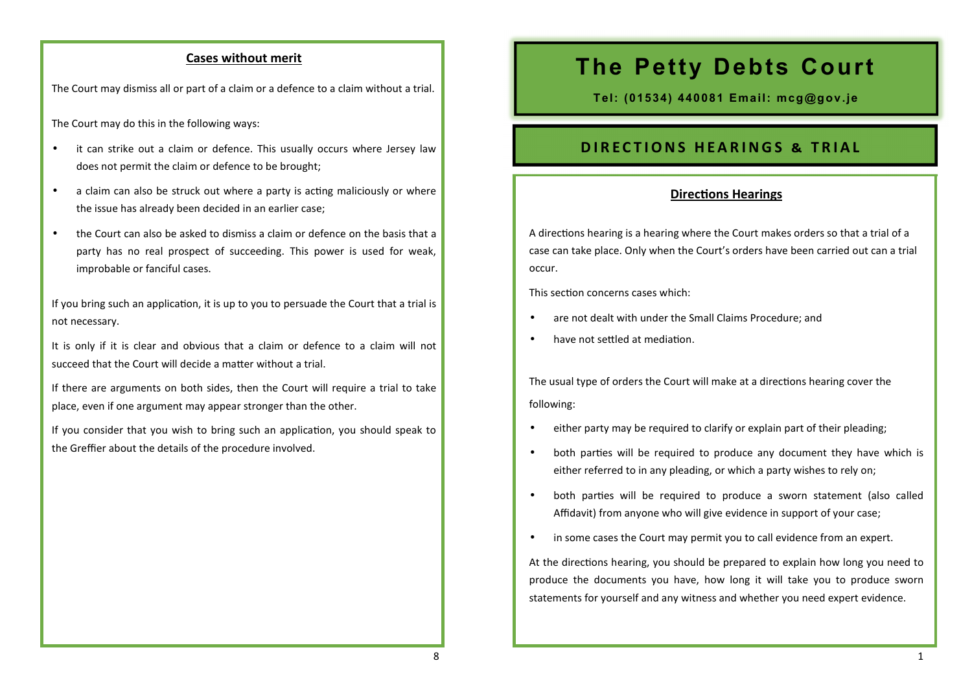#### **Cases without merit**

The Court may dismiss all or part of a claim or a defence to a claim without a trial.

The Court may do this in the following ways:

- it can strike out a claim or defence. This usually occurs where Jersey law does not permit the claim or defence to be brought;
- a claim can also be struck out where a party is acting maliciously or where the issue has already been decided in an earlier case;
- the Court can also be asked to dismiss a claim or defence on the basis that a party has no real prospect of succeeding. This power is used for weak, improbable or fanciful cases.

If you bring such an application, it is up to you to persuade the Court that a trial is not necessary.

It is only if it is clear and obvious that a claim or defence to a claim will not succeed that the Court will decide a matter without a trial.

If there are arguments on both sides, then the Court will require a trial to take place, even if one argument may appear stronger than the other.

If you consider that you wish to bring such an application, you should speak to the Greffier about the details of the procedure involved.

# **The Petty Debts Court**

**Tel: (01534) 440081 Email: mcg@gov.je**

## **DIRECTIONS HEARINGS & TRIAL**

### **Directions Hearings**

A directions hearing is a hearing where the Court makes orders so that a trial of a case can take place. Only when the Court's orders have been carried out can a trial occur.

This section concerns cases which:

- are not dealt with under the Small Claims Procedure; and
- have not settled at mediation

The usual type of orders the Court will make at a directions hearing cover the following:

- either party may be required to clarify or explain part of their pleading;
- both parties will be required to produce any document they have which is either referred to in any pleading, or which a party wishes to rely on;
- both parties will be required to produce a sworn statement (also called Affidavit) from anyone who will give evidence in support of your case;
- in some cases the Court may permit you to call evidence from an expert.

At the directions hearing, you should be prepared to explain how long you need to produce the documents you have, how long it will take you to produce sworn statements for yourself and any witness and whether you need expert evidence.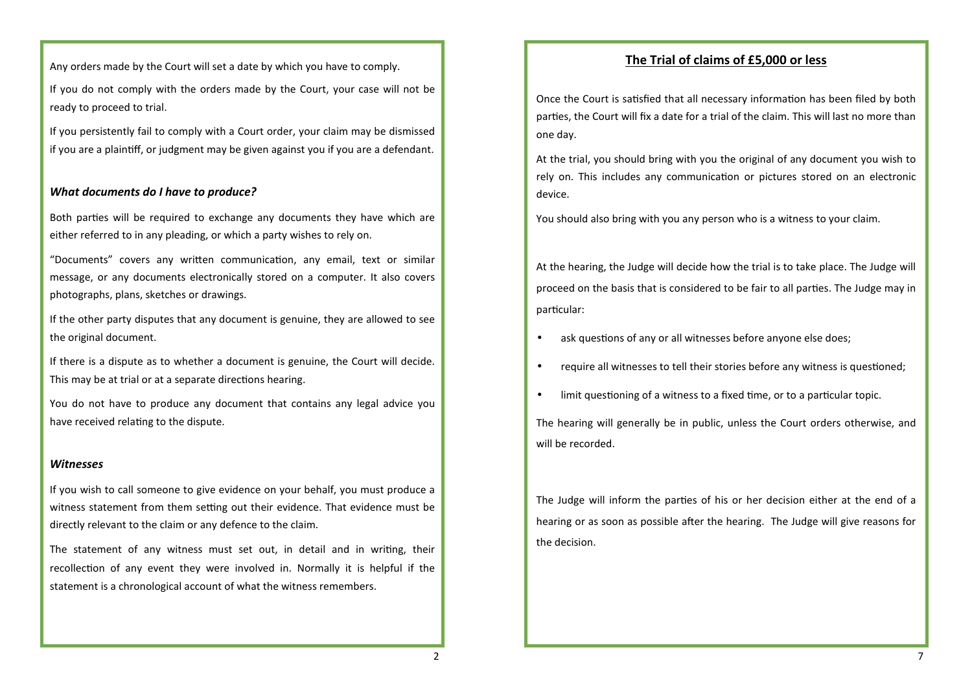Any orders made by the Court will set a date by which you have to comply.

If you do not comply with the orders made by the Court, your case will not be ready to proceed to trial.

If you persistently fail to comply with a Court order, your claim may be dismissed if you are a plainff, or judgment may be given against you if you are a defendant.

#### *What documents do I have to produce?*

Both parties will be required to exchange any documents they have which are either referred to in any pleading, or which a party wishes to rely on.

"Documents" covers any written communication, any email, text or similar message, or any documents electronically stored on a computer. It also covers photographs, plans, sketches or drawings.

If the other party disputes that any document is genuine, they are allowed to see the original document.

If there is a dispute as to whether a document is genuine, the Court will decide. This may be at trial or at a separate directions hearing.

You do not have to produce any document that contains any legal advice you have received relating to the dispute.

#### *Witnesses*

If you wish to call someone to give evidence on your behalf, you must produce a witness statement from them setting out their evidence. That evidence must be directly relevant to the claim or any defence to the claim.

The statement of any witness must set out, in detail and in writing, their recollection of any event they were involved in. Normally it is helpful if the statement is a chronological account of what the witness remembers.

## **The Trial of claims of £5,000 or less**

Once the Court is satisfied that all necessary information has been filed by both parties, the Court will fix a date for a trial of the claim. This will last no more than one day.

At the trial, you should bring with you the original of any document you wish to rely on. This includes any communication or pictures stored on an electronic device.

You should also bring with you any person who is a witness to your claim.

At the hearing, the Judge will decide how the trial is to take place. The Judge will proceed on the basis that is considered to be fair to all parties. The Judge may in particular:

- $\bullet$  ask questions of any or all witnesses before anyone else does;
- require all witnesses to tell their stories before any witness is questioned;
- $\bullet$  limit questioning of a witness to a fixed time, or to a particular topic.

The hearing will generally be in public, unless the Court orders otherwise, and will be recorded.

The Judge will inform the parties of his or her decision either at the end of a hearing or as soon as possible after the hearing. The Judge will give reasons for the decision.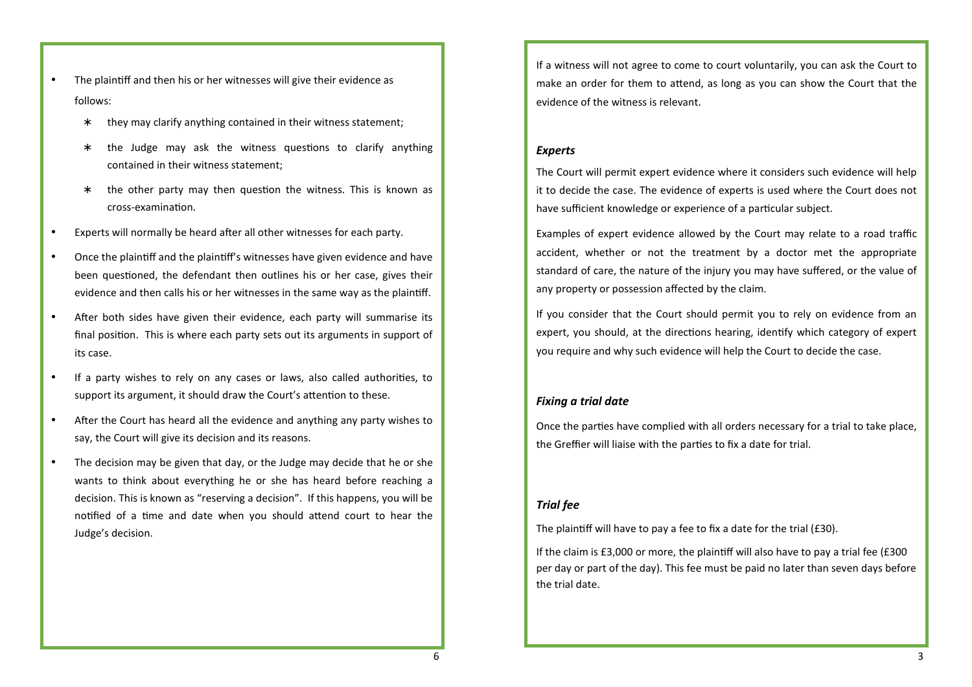- The plaintiff and then his or her witnesses will give their evidence as follows:
	- ∗ they may clarify anything contained in their witness statement;
	- \* the Judge may ask the witness questions to clarify anything contained in their witness statement;
	- \* the other party may then question the witness. This is known as cross-examination.
- Experts will normally be heard after all other witnesses for each party.
- Once the plaintiff and the plaintiff's witnesses have given evidence and have been questioned, the defendant then outlines his or her case, gives their evidence and then calls his or her witnesses in the same way as the plaintiff.
- After both sides have given their evidence, each party will summarise its final position. This is where each party sets out its arguments in support of its case.
- If a party wishes to rely on any cases or laws, also called authorities, to support its argument, it should draw the Court's attention to these.
- After the Court has heard all the evidence and anything any party wishes to say, the Court will give its decision and its reasons.
- The decision may be given that day, or the Judge may decide that he or she wants to think about everything he or she has heard before reaching a decision. This is known as "reserving a decision". If this happens, you will be notified of a time and date when you should attend court to hear the Judge's decision.

If a witness will not agree to come to court voluntarily, you can ask the Court to make an order for them to attend, as long as you can show the Court that the evidence of the witness is relevant.

#### *Experts*

The Court will permit expert evidence where it considers such evidence will help it to decide the case. The evidence of experts is used where the Court does not have sufficient knowledge or experience of a particular subject.

Examples of expert evidence allowed by the Court may relate to a road traffic accident, whether or not the treatment by a doctor met the appropriate standard of care, the nature of the injury you may have suffered, or the value of any property or possession affected by the claim.

If you consider that the Court should permit you to rely on evidence from an expert, you should, at the directions hearing, identify which category of expert you require and why such evidence will help the Court to decide the case.

#### *Fixing a trial date*

Once the parties have complied with all orders necessary for a trial to take place, the Greffier will liaise with the parties to fix a date for trial.

## *Trial fee*

The plaintiff will have to pay a fee to fix a date for the trial (£30).

If the claim is  $£3,000$  or more, the plaintiff will also have to pay a trial fee  $£300$ per day or part of the day). This fee must be paid no later than seven days before the trial date.